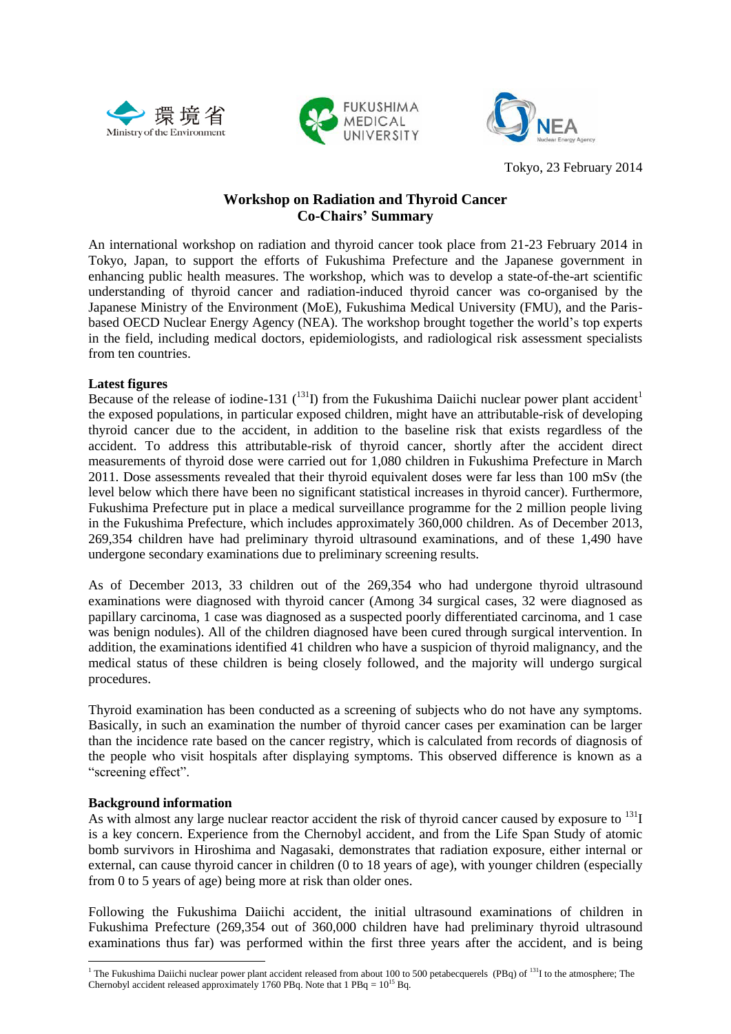





Tokyo, 23 February 2014

## **Workshop on Radiation and Thyroid Cancer Co-Chairs' Summary**

An international workshop on radiation and thyroid cancer took place from 21-23 February 2014 in Tokyo, Japan, to support the efforts of Fukushima Prefecture and the Japanese government in enhancing public health measures. The workshop, which was to develop a state-of-the-art scientific understanding of thyroid cancer and radiation-induced thyroid cancer was co-organised by the Japanese Ministry of the Environment (MoE), Fukushima Medical University (FMU), and the Parisbased OECD Nuclear Energy Agency (NEA). The workshop brought together the world's top experts in the field, including medical doctors, epidemiologists, and radiological risk assessment specialists from ten countries.

## **Latest figures**

Because of the release of iodine-131  $\binom{131}{11}$  from the Fukushima Daiichi nuclear power plant accident<sup>1</sup> the exposed populations, in particular exposed children, might have an attributable-risk of developing thyroid cancer due to the accident, in addition to the baseline risk that exists regardless of the accident. To address this attributable-risk of thyroid cancer, shortly after the accident direct measurements of thyroid dose were carried out for 1,080 children in Fukushima Prefecture in March 2011. Dose assessments revealed that their thyroid equivalent doses were far less than 100 mSv (the level below which there have been no significant statistical increases in thyroid cancer). Furthermore, Fukushima Prefecture put in place a medical surveillance programme for the 2 million people living in the Fukushima Prefecture, which includes approximately 360,000 children. As of December 2013, 269,354 children have had preliminary thyroid ultrasound examinations, and of these 1,490 have undergone secondary examinations due to preliminary screening results.

As of December 2013, 33 children out of the 269,354 who had undergone thyroid ultrasound examinations were diagnosed with thyroid cancer (Among 34 surgical cases, 32 were diagnosed as papillary carcinoma, 1 case was diagnosed as a suspected poorly differentiated carcinoma, and 1 case was benign nodules). All of the children diagnosed have been cured through surgical intervention. In addition, the examinations identified 41 children who have a suspicion of thyroid malignancy, and the medical status of these children is being closely followed, and the majority will undergo surgical procedures.

Thyroid examination has been conducted as a screening of subjects who do not have any symptoms. Basically, in such an examination the number of thyroid cancer cases per examination can be larger than the incidence rate based on the cancer registry, which is calculated from records of diagnosis of the people who visit hospitals after displaying symptoms. This observed difference is known as a "screening effect".

## **Background information**

**.** 

As with almost any large nuclear reactor accident the risk of thyroid cancer caused by exposure to  $^{131}I$ is a key concern. Experience from the Chernobyl accident, and from the Life Span Study of atomic bomb survivors in Hiroshima and Nagasaki, demonstrates that radiation exposure, either internal or external, can cause thyroid cancer in children (0 to 18 years of age), with younger children (especially from 0 to 5 years of age) being more at risk than older ones.

Following the Fukushima Daiichi accident, the initial ultrasound examinations of children in Fukushima Prefecture (269,354 out of 360,000 children have had preliminary thyroid ultrasound examinations thus far) was performed within the first three years after the accident, and is being

<sup>&</sup>lt;sup>1</sup> The Fukushima Daiichi nuclear power plant accident released from about 100 to 500 petabecquerels (PBq) of  $131$ I to the atmosphere; The Chernobyl accident released approximately 1760 PBq. Note that  $1$  PBq =  $10^{15}$  Bq.